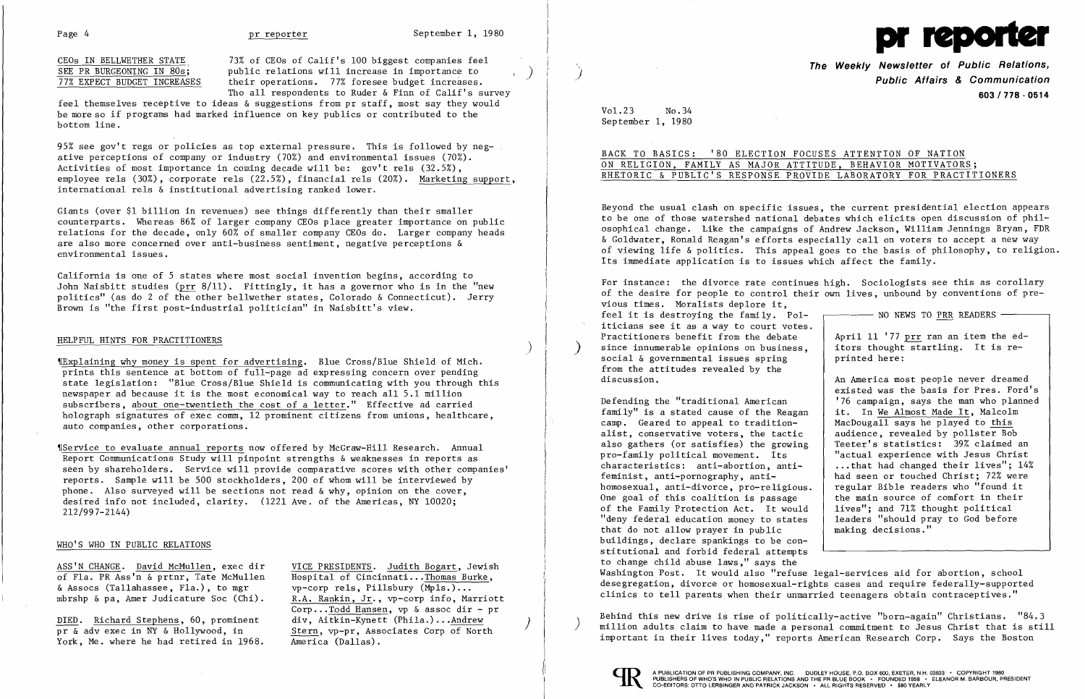

<u>CEOs IN BELLWETHER STATE</u> 73% of CEOs of Calif's 100 biggest companies feel<br>SEE PR BURGEONING IN 80s: public relations will increase in importance to SEE PR BURGEONING IN 80s; public relations will increase in importance to  $\overline{77\%}$  EXPECT BUDGET INCREASES their operations. 77% foresee budget increases. their operations. 77% foresee budget increases. Tho all respondents to Ruder & Finn of Calif's survey

feel themselves receptive to ideas & suggestions from pr staff, most say they would be more so if programs had marked influence on key publics or contributed to the bottom line.

95% see gov't regs or policies as top external pressure. This is followed by neg ative perceptions of company or industry (70%) and environmental issues (70%). Activities of most importance in coming decade will be: gov't rels (32.5%), employee rels (30%), corporate rels (22.5%), financial rels (20%). Marketing support, international rels & institutional advertising ranked lower.

## HELPFUL HINTS FOR PRACTITIONERS  $\overline{\phantom{a}}$

Giants (over \$1 billion in revenues) see things differently than their smaller counterparts. Whereas 86% of larger company CEOs place greater importance on public relations for the decade, only 60% of smaller company CEOs do. Larger company heads are also more concerned over anti-business sentiment, negative perceptions & environmental issues.

(Service to evaluate annual reports now offered by McGraw-Hill Research. Annual Report Communications Study will pinpoint strengths & weaknesses in reports as seen by shareholders. Service will provide comparative scores with other companies' reports. Sample will be 500 stockholders, 200 of whom will be interviewed by phone. Also surveyed will be sections not read & why, opinion on the cover, desired info not included, clarity. (1221 Ave. of the Americas, NY 10020; 212/997-2144)

California is one of 5 states where most social invention begins, according to John Naisbitt studies (prr 8/11). Fittingly, it has a governor who is in the "new politics" (as do 2 of the other bellwether states, Colorado & Connecticut). Jerry Brown is "the first post-industrial politician" in Naisbitt's view.

Beyond the usual clash on specific issues, the current presidential election appears to be one of those watershed national debates which elicits open discussion of phil osophical change. Like the campaigns of Andrew Jackson, William Jennings Bryan, FDR & Goldwater, Ronald Reagan's efforts especially calIon voters to accept a new way of viewing life & politics. This appeal goes to the basis of philosophy, to religion. Its immediate application is to issues which affect the family.

'ffi0plaining why money is spent for advertising. Blue Cross/Blue Shield of Mich. prints this sentence at bottom of full-page ad expressing concern over pending state legislation: "Blue Cross/Blue Shield is communicating with you through this newspaper ad because it is the most economical way to reach all 5.1 million subscribers, about one-twentieth the cost of a letter." Effective ad carried holograph signatures of exec comm, 12 prominent citizens from unions, healthcare, auto companies, other corporations.

For instance: the divorce rate continues high. Sociologists see this as corollary of the desire for people to control their own lives, unbound by conventions of pre vious times. Moralists deplore it, ľ feel it is destroying the family. Pol  $\overline{\phantom{a}}$  ------ NO NEWS TO <u>PRR</u> READERS  $\overline{\phantom{a}}$ iticians see it as a way to court votes. Practitioners benefit from the debate since innumerable opinions on business social  $\&$  governmental issues spring from the attitudes revealed by the discussion. An America most people never dreamed

## WHO'S WHO IN PUBLIC RELATIONS

ASS'N CHANGE. David McMullen, exec dir<br>
of Fla. PR Ass'n & prtnr, Tate McMullen Hospital of Cincinnati...Thomas Burke, of Fla. PR Ass'n & prtnr, Tate McMullen Hospital of Cincinnati... Thomas Bun & Assocs (Tallahassee, Fla.), to mgr  $wp\text{-corp}$  rels, Pillsbury (Mpls.)... mbrshp & pa, Amer Judicature Soc (Chi).

DIED. Richard Stephens, 60, prominent<br>pr  $\&$  adv exec in NY  $\&$  Hollywood, in York, Me. where he had retired in 1968. America (Dallas).

& Assocs (Tallahassee, Fla.), to mgr<br>mbrshp & pa, Amer Judicature Soc (Chi). R.A. Rankin, Jr., vp-corp info, Marriott Corp... Todd Hansen, vp & assoc dir - pr<br>div, Aitkin-Kynett (Phila.)... Andrew Stern, vp-pr, Associates Corp of North

Defending the "traditional American family" is a stated cause of the Reagan camp. Geared to appeal to traditionalist, conservative voters, the tactic also gathers (or satisfies) the growin pro-family political movement. Its characteristics: anti-abortion, antifeminist, anti-pornography, antihomosexual, anti-divorce, pro-religiou. One goal of this coalition is passage of the Family Protection Act. It woul "deny federal education money to states that do not allow prayer in public buildings, declare spankings to be constitutional and forbid federal attempts to change child abuse laws," says the Washington Post. It would also "refuse legal-services aid for abortion, school desegregation, divorce or homosexual-rights cases and require federally-supported clinics to tell parents when their unmarried teenagers obtain contraceptives."

Behind this new drive is rise of politically-active "born-again" Christians. "84.3 million adults claim to have made a personal commitment to Jesus Christ that is still important in their lives today," reports American Research Corp. Says the Boston



**The Weekly Newsletter of Public Relations,** ) **Public Affairs & Communication 603/778·0514** 

| CUSES ATTENTION OF NATION   |                                   |  |
|-----------------------------|-----------------------------------|--|
| ITUDE, BEHAVIOR MOTIVATORS; |                                   |  |
|                             | VIDE LABORATORY FOR PRACTITIONERS |  |

Vol.23 No.34 September 1, 1980

BACK TO BASICS: '80 ELECTION FO ON RELIGION, FAMILY AS MAJOR ATT RHETORIC & PUBLIC'S RESPONSE PRO

|           | NO NEWS TO PRR READERS                 |
|-----------|----------------------------------------|
| $s$ .     |                                        |
|           | April 11 '77 prr ran an item the ed-   |
| $\bullet$ | itors thought startling. It is re-     |
|           | printed here:                          |
|           |                                        |
|           | An America most people never dreamed   |
|           | existed was the basis for Pres. Ford's |
|           | '76 campaign, says the man who planned |
| n         | it. In We Almost Made It, Malcolm      |
|           | MacDougall says he played to this      |
|           | audience, revealed by pollster Bob     |
| g         | Teeter's statistics: 39% claimed an    |
|           | "actual experience with Jesus Christ   |
|           | that had changed their lives"; 14%     |
|           | had seen or touched Christ; 72% were   |
|           |                                        |
| $s$ .     | regular Bible readers who "found it    |
|           | the main source of comfort in their    |
| d         | lives"; and 71% thought political      |
| s         | leaders "should pray to God before     |
|           | making decisions."                     |
|           |                                        |
| c         |                                        |